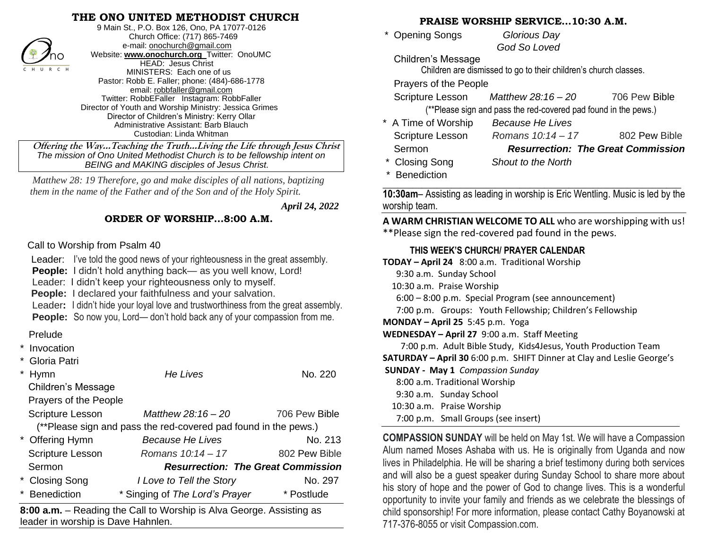## **THE ONO UNITED METHODIST CHURCH**



9 Main St., P.O. Box 126, Ono, PA 17077-0126 Church Office: (717) 865-7469 e-mail[: onochurch@gmail.com](mailto:onochurch@gmail.com) Website: **[www.onochurch.org](http://www.onochurch.org/)** Twitter: OnoUMC HEAD: Jesus Christ MINISTERS: Each one of us Pastor: Robb E. Faller; phone: (484)-686-1778 email: [robbfaller@gmail.com](mailto:robbfaller@gmail.com) Twitter: RobbEFaller Instagram: RobbFaller Director of Youth and Worship Ministry: Jessica Grimes Director of Children's Ministry: Kerry Ollar Administrative Assistant: Barb Blauch Custodian: Linda Whitman

#### **ORDER OF WORSHIP…8:00 A.M.**

### Prelude

| ∕no<br><b>HEAD: Jesus Christ</b><br>CHURCH<br>MINISTERS: Each one of us<br>Pastor: Robb E. Faller; phone: (484)-686-1778<br>email: robbfaller@gmail.com<br>Twitter: RobbEFaller Instagram: RobbFaller<br>Director of Youth and Worship Ministry: Jessica Grimes<br>Director of Children's Ministry: Kerry Ollar<br>Administrative Assistant: Barb Blauch<br>Custodian: Linda Whitman<br>Offering the WayTeaching the TruthLiving the Life through Jesus Christ<br>The mission of Ono United Methodist Church is to be fellowship intent on |                                                                                                                                                                                                                                                                                                                                                                                                                                                                                                                                                     | <b>Children's Message</b><br>Children are dismissed to go to tl<br>Prayers of the People<br>Scripture Lesson<br><b>Matthew 28</b><br>(**Please sign and pass the red<br>* A Time of Worship<br>Because <i>H</i><br>Scripture Lesson<br>Romans 1<br>Sermon<br>Resuri |                                                                                                                                                                                                                                                                                                                                                                                                                                                                                                                                           |  |
|--------------------------------------------------------------------------------------------------------------------------------------------------------------------------------------------------------------------------------------------------------------------------------------------------------------------------------------------------------------------------------------------------------------------------------------------------------------------------------------------------------------------------------------------|-----------------------------------------------------------------------------------------------------------------------------------------------------------------------------------------------------------------------------------------------------------------------------------------------------------------------------------------------------------------------------------------------------------------------------------------------------------------------------------------------------------------------------------------------------|---------------------------------------------------------------------------------------------------------------------------------------------------------------------------------------------------------------------------------------------------------------------|-------------------------------------------------------------------------------------------------------------------------------------------------------------------------------------------------------------------------------------------------------------------------------------------------------------------------------------------------------------------------------------------------------------------------------------------------------------------------------------------------------------------------------------------|--|
| <b>BEING and MAKING disciples of Jesus Christ.</b><br>Matthew 28: 19 Therefore, go and make disciples of all nations, baptizing                                                                                                                                                                                                                                                                                                                                                                                                            |                                                                                                                                                                                                                                                                                                                                                                                                                                                                                                                                                     |                                                                                                                                                                                                                                                                     | * Closing Song<br>Shout to th<br><b>Benediction</b>                                                                                                                                                                                                                                                                                                                                                                                                                                                                                       |  |
| them in the name of the Father and of the Son and of the Holy Spirit.                                                                                                                                                                                                                                                                                                                                                                                                                                                                      |                                                                                                                                                                                                                                                                                                                                                                                                                                                                                                                                                     |                                                                                                                                                                                                                                                                     | 10:30am- Assisting as leading in worsh                                                                                                                                                                                                                                                                                                                                                                                                                                                                                                    |  |
|                                                                                                                                                                                                                                                                                                                                                                                                                                                                                                                                            |                                                                                                                                                                                                                                                                                                                                                                                                                                                                                                                                                     | April 24, 2022                                                                                                                                                                                                                                                      | worship team.                                                                                                                                                                                                                                                                                                                                                                                                                                                                                                                             |  |
| ORDER OF WORSHIP8:00 A.M.                                                                                                                                                                                                                                                                                                                                                                                                                                                                                                                  |                                                                                                                                                                                                                                                                                                                                                                                                                                                                                                                                                     |                                                                                                                                                                                                                                                                     | A WARM CHRISTIAN WELCOME TO<br>**Please sign the red-covered pad f                                                                                                                                                                                                                                                                                                                                                                                                                                                                        |  |
| Prelude<br>* Invocation<br>* Gloria Patri<br>* Hymn<br><b>Children's Message</b><br>Prayers of the People<br><b>Scripture Lesson</b>                                                                                                                                                                                                                                                                                                                                                                                                       | Leader: I've told the good news of your righteousness in the great assembly.<br>People: I didn't hold anything back- as you well know, Lord!<br>Leader: I didn't keep your righteousness only to myself.<br>People: I declared your faithfulness and your salvation.<br>Leader: I didn't hide your loyal love and trustworthiness from the great assembly.<br><b>People:</b> So now you, Lord— don't hold back any of your compassion from me.<br>He Lives<br>Matthew 28:16 - 20<br>(**Please sign and pass the red-covered pad found in the pews.) | No. 220<br>706 Pew Bible                                                                                                                                                                                                                                            | THIS WEEK'S CHURCH/ PRAYER<br>TODAY - April 24 8:00 a.m. Tradition<br>9:30 a.m. Sunday School<br>10:30 a.m. Praise Worship<br>$6:00 - 8:00$ p.m. Special Program (s<br>7:00 p.m. Groups: Youth Fellowsh<br>MONDAY - April 25 5:45 p.m. Yoga<br>WEDNESDAY - April 27 9:00 a.m. Staf<br>7:00 p.m. Adult Bible Study, Kids4<br>SATURDAY - April 30 6:00 p.m. SHIFT<br><b>SUNDAY - May 1 Compassion Sunday</b><br>8:00 a.m. Traditional Worship<br>9:30 a.m. Sunday School<br>10:30 a.m. Praise Worship<br>7:00 p.m. Small Groups (see insert |  |
| * Offering Hymn<br>Scripture Lesson<br>Sermon<br>* Closing Song<br>* Benediction                                                                                                                                                                                                                                                                                                                                                                                                                                                           | <b>Because He Lives</b><br>Romans 10:14 - 17<br><b>Resurrection: The Great Commission</b><br>I Love to Tell the Story<br>* Singing of The Lord's Prayer                                                                                                                                                                                                                                                                                                                                                                                             | No. 213<br>802 Pew Bible<br>No. 297<br>* Postlude                                                                                                                                                                                                                   | <b>COMPASSION SUNDAY will be held or</b><br>Alum named Moses Ashaba with us. H<br>lives in Philadelphia. He will be sharing<br>and will also be a guest speaker during<br>his story of hope and the power of Goo                                                                                                                                                                                                                                                                                                                          |  |
| leader in worship is Dave Hahnlen.                                                                                                                                                                                                                                                                                                                                                                                                                                                                                                         | 8:00 a.m. - Reading the Call to Worship is Alva George. Assisting as                                                                                                                                                                                                                                                                                                                                                                                                                                                                                |                                                                                                                                                                                                                                                                     | opportunity to invite your family and frie<br>child sponsorship! For more information<br>717-376-8055 or visit Compassion.com.                                                                                                                                                                                                                                                                                                                                                                                                            |  |

**8:00 a.m.** – Reading the Call to Worship is Alva George. Assisting as leader in worship is Dave Hahnlen. 

#### **PRAISE WORSHIP SERVICE…10:30 A.M.**

| * Opening Songs | Glorious Day |  |
|-----------------|--------------|--|
|                 | God So Loved |  |

Children are dismissed to go to their children's church classes.

 Scripture Lesson *Matthew 28:16 – 20* 706 Pew Bible (\*\*Please sign and pass the red-covered pad found in the pews.)

| * A Time of Worship     | <b>Because He Lives</b>                   |               |
|-------------------------|-------------------------------------------|---------------|
| <b>Scripture Lesson</b> | Romans 10:14 - 17                         | 802 Pew Bible |
| Sermon                  | <b>Resurrection: The Great Commission</b> |               |
| * Closing Song          | Shout to the North                        |               |

\* Benediction **\_\_\_\_\_\_\_\_\_\_\_\_\_\_\_\_\_\_\_\_\_\_\_\_\_\_\_\_\_\_\_\_\_\_\_\_\_\_\_\_\_\_\_\_\_\_\_\_\_\_\_\_\_\_\_\_\_\_\_\_\_**

**10:30am**– Assisting as leading in worship is Eric Wentling. Music is led by the worship team.

**A WARM CHRISTIAN WELCOME TO ALL** who are worshipping with us! \*\*Please sign the red-covered pad found in the pews.

#### **THIS WEEK'S CHURCH/ PRAYER CALENDAR**

**TODAY – April 24** 8:00 a.m. Traditional Worship

6:00 – 8:00 p.m. Special Program (see announcement)

7:00 p.m. Groups: Youth Fellowship; Children's Fellowship

**WEDNESDAY – April 27** 9:00 a.m. Staff Meeting

7:00 p.m. Adult Bible Study, Kids4Jesus, Youth Production Team

**SATURDAY – April 30** 6:00 p.m. SHIFT Dinner at Clay and Leslie George's

**COMPASSION SUNDAY** will be held on May 1st. We will have a Compassion Alum named Moses Ashaba with us. He is originally from Uganda and now lives in Philadelphia. He will be sharing a brief testimony during both services and will also be a guest speaker during Sunday School to share more about his story of hope and the power of God to change lives. This is a wonderful opportunity to invite your family and friends as we celebrate the blessings of child sponsorship! For more information, please contact Cathy Boyanowski at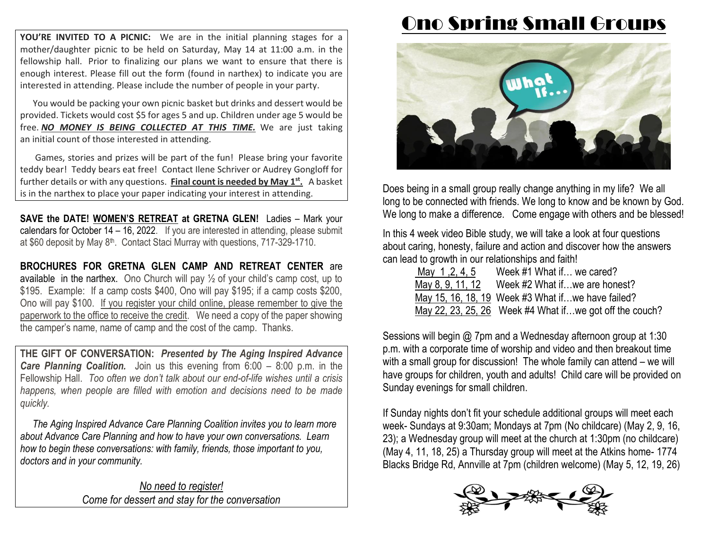**YOU'RE INVITED TO A PICNIC:** We are in the initial planning stages for a mother/daughter picnic to be held on Saturday, May 14 at 11:00 a.m. in the fellowship hall. Prior to finalizing our plans we want to ensure that there is enough interest. Please fill out the form (found in narthex) to indicate you are interested in attending. Please include the number of people in your party.

You would be packing your own picnic basket but drinks and dessert would be provided. Tickets would cost \$5 for ages 5 and up. Children under age 5 would be free. *NO MONEY IS BEING COLLECTED AT THIS TIME.* We are just taking an initial count of those interested in attending.

Games, stories and prizes will be part of the fun! Please bring your favorite teddy bear! Teddy bears eat free! Contact Ilene Schriver or Audrey Gongloff for further details or with any questions. **Final count is needed by May 1st .** A basket is in the narthex to place your paper indicating your interest in attending.

**SAVE the DATE! WOMEN'S RETREAT at GRETNA GLEN!** Ladies – Mark your calendars for October 14 – 16, 2022. If you are interested in attending, please submit at \$60 deposit by May 8<sup>th</sup>. Contact Staci Murray with questions, 717-329-1710.

**BROCHURES FOR GRETNA GLEN CAMP AND RETREAT CENTER** are available in the narthex. Ono Church will pay  $\frac{1}{2}$  of your child's camp cost, up to \$195. Example: If a camp costs \$400, Ono will pay \$195; if a camp costs \$200, Ono will pay \$100. If you register your child online, please remember to give the paperwork to the office to receive the credit. We need a copy of the paper showing the camper's name, name of camp and the cost of the camp. Thanks.

**THE GIFT OF CONVERSATION:** *Presented by The Aging Inspired Advance Care Planning Coalition.* Join us this evening from 6:00 – 8:00 p.m. in the Fellowship Hall. *Too often we don't talk about our end-of-life wishes until a crisis happens, when people are filled with emotion and decisions need to be made quickly.*

 *The Aging Inspired Advance Care Planning Coalition invites you to learn more about Advance Care Planning and how to have your own conversations. Learn how to begin these conversations: with family, friends, those important to you, doctors and in your community.*

> *No need to register! Come for dessert and stay for the conversation*

# Ono Spring Small Groups



Does being in a small group really change anything in my life? We all long to be connected with friends. We long to know and be known by God. We long to make a difference. Come engage with others and be blessed!

In this 4 week video Bible study, we will take a look at four questions about caring, honesty, failure and action and discover how the answers can lead to growth in our relationships and faith!

| May 1, 2, 4, 5 | Week #1 What if we cared?                               |
|----------------|---------------------------------------------------------|
|                | May 8, 9, 11, 12 Week $#2$ What if  we are honest?      |
|                | May 15, 16, 18, 19 Week #3 What if we have failed?      |
|                | May 22, 23, 25, 26 Week #4 What ifwe got off the couch? |

Sessions will begin @ 7pm and a Wednesday afternoon group at 1:30 p.m. with a corporate time of worship and video and then breakout time with a small group for discussion! The whole family can attend – we will have groups for children, youth and adults! Child care will be provided on Sunday evenings for small children.

If Sunday nights don't fit your schedule additional groups will meet each week- Sundays at 9:30am; Mondays at 7pm (No childcare) (May 2, 9, 16, 23); a Wednesday group will meet at the church at 1:30pm (no childcare) (May 4, 11, 18, 25) a Thursday group will meet at the Atkins home- 1774 Blacks Bridge Rd, Annville at 7pm (children welcome) (May 5, 12, 19, 26)